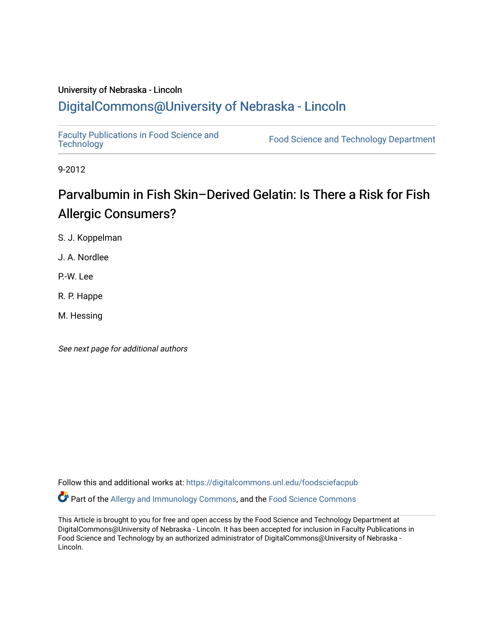### University of Nebraska - Lincoln [DigitalCommons@University of Nebraska - Lincoln](https://digitalcommons.unl.edu/)

[Faculty Publications in Food Science and](https://digitalcommons.unl.edu/foodsciefacpub)

Food Science and [Technology](https://digitalcommons.unl.edu/foodsciefacpub) Department

9-2012

## Parvalbumin in Fish Skin–Derived Gelatin: Is There a Risk for Fish Allergic Consumers?

S. J. Koppelman

J. A. Nordlee

P.-W. Lee

R. P. Happe

M. Hessing

See next page for additional authors

Follow this and additional works at: [https://digitalcommons.unl.edu/foodsciefacpub](https://digitalcommons.unl.edu/foodsciefacpub?utm_source=digitalcommons.unl.edu%2Ffoodsciefacpub%2F490&utm_medium=PDF&utm_campaign=PDFCoverPages)  Part of the [Allergy and Immunology Commons](https://network.bepress.com/hgg/discipline/681?utm_source=digitalcommons.unl.edu%2Ffoodsciefacpub%2F490&utm_medium=PDF&utm_campaign=PDFCoverPages), and the [Food Science Commons](https://network.bepress.com/hgg/discipline/84?utm_source=digitalcommons.unl.edu%2Ffoodsciefacpub%2F490&utm_medium=PDF&utm_campaign=PDFCoverPages) 

This Article is brought to you for free and open access by the Food Science and Technology Department at DigitalCommons@University of Nebraska - Lincoln. It has been accepted for inclusion in Faculty Publications in Food Science and Technology by an authorized administrator of DigitalCommons@University of Nebraska -Lincoln.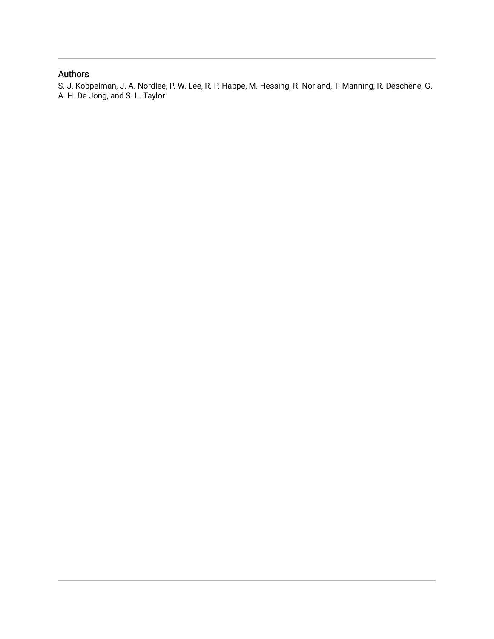### Authors

S. J. Koppelman, J. A. Nordlee, P.-W. Lee, R. P. Happe, M. Hessing, R. Norland, T. Manning, R. Deschene, G. A. H. De Jong, and S. L. Taylor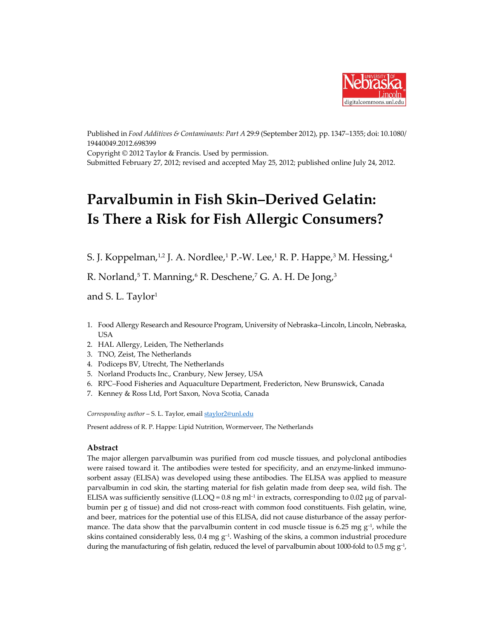

Published in *Food Additives & Contaminants: Part A* 29:9 (September 2012), pp. 1347–1355; doi: 10.1080/ 19440049.2012.698399 Copyright © 2012 Taylor & Francis. Used by permission. Submitted February 27, 2012; revised and accepted May 25, 2012; published online July 24, 2012.

# **Parvalbumin in Fish Skin–Derived Gelatin: Is There a Risk for Fish Allergic Consumers?**

S. J. Koppelman,<sup>1,2</sup> J. A. Nordlee,<sup>1</sup> P.-W. Lee,<sup>1</sup> R. P. Happe,<sup>3</sup> M. Hessing,<sup>4</sup>

R. Norland, <sup>5</sup> T. Manning, <sup>6</sup> R. Deschene, <sup>7</sup> G. A. H. De Jong, 3

and S. L. Taylor<sup>1</sup>

- 1. Food Allergy Research and Resource Program, University of Nebraska–Lincoln, Lincoln, Nebraska, USA
- 2. HAL Allergy, Leiden, The Netherlands
- 3. TNO, Zeist, The Netherlands
- 4. Podiceps BV, Utrecht, The Netherlands
- 5. Norland Products Inc., Cranbury, New Jersey, USA
- 6. RPC–Food Fisheries and Aquaculture Department, Fredericton, New Brunswick, Canada
- 7. Kenney & Ross Ltd, Port Saxon, Nova Scotia, Canada

*Corresponding author* – S. L. Taylor, emai[l staylor2@unl.edu](mailto:staylor2@unl.edu)

Present address of R. P. Happe: Lipid Nutrition, Wormerveer, The Netherlands

#### **Abstract**

The major allergen parvalbumin was purified from cod muscle tissues, and polyclonal antibodies were raised toward it. The antibodies were tested for specificity, and an enzyme-linked immunosorbent assay (ELISA) was developed using these antibodies. The ELISA was applied to measure parvalbumin in cod skin, the starting material for fish gelatin made from deep sea, wild fish. The ELISA was sufficiently sensitive (LLOQ =  $0.8 \text{ ng } \text{m}$ -1 in extracts, corresponding to  $0.02 \mu$ g of parvalbumin per g of tissue) and did not cross-react with common food constituents. Fish gelatin, wine, and beer, matrices for the potential use of this ELISA, did not cause disturbance of the assay performance. The data show that the parvalbumin content in cod muscle tissue is 6.25 mg  $g^{-1}$ , while the skins contained considerably less,  $0.4$  mg  $g^{-1}$ . Washing of the skins, a common industrial procedure during the manufacturing of fish gelatin, reduced the level of parvalbumin about 1000-fold to 0.5 mg  $g^{-1}$ ,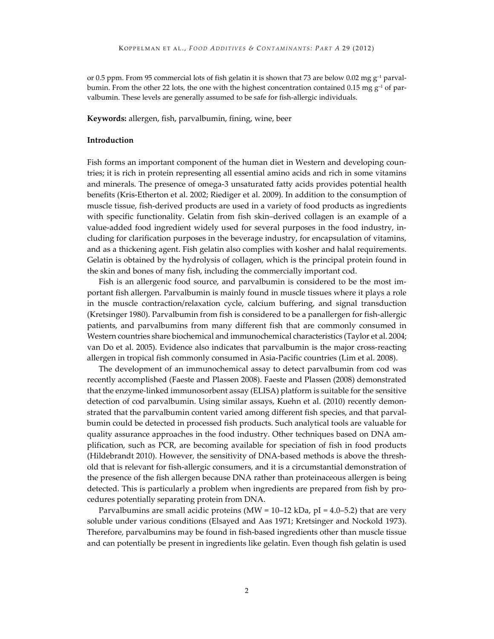or 0.5 ppm. From 95 commercial lots of fish gelatin it is shown that 73 are below 0.02 mg  $g^{-1}$  parvalbumin. From the other 22 lots, the one with the highest concentration contained 0.15 mg  $g^{-1}$  of parvalbumin. These levels are generally assumed to be safe for fish-allergic individuals.

**Keywords:** allergen, fish, parvalbumin, fining, wine, beer

#### **Introduction**

Fish forms an important component of the human diet in Western and developing countries; it is rich in protein representing all essential amino acids and rich in some vitamins and minerals. The presence of omega-3 unsaturated fatty acids provides potential health benefits (Kris-Etherton et al. 2002; Riediger et al. 2009). In addition to the consumption of muscle tissue, fish-derived products are used in a variety of food products as ingredients with specific functionality. Gelatin from fish skin–derived collagen is an example of a value-added food ingredient widely used for several purposes in the food industry, including for clarification purposes in the beverage industry, for encapsulation of vitamins, and as a thickening agent. Fish gelatin also complies with kosher and halal requirements. Gelatin is obtained by the hydrolysis of collagen, which is the principal protein found in the skin and bones of many fish, including the commercially important cod.

Fish is an allergenic food source, and parvalbumin is considered to be the most important fish allergen. Parvalbumin is mainly found in muscle tissues where it plays a role in the muscle contraction/relaxation cycle, calcium buffering, and signal transduction (Kretsinger 1980). Parvalbumin from fish is considered to be a panallergen for fish-allergic patients, and parvalbumins from many different fish that are commonly consumed in Western countries share biochemical and immunochemical characteristics (Taylor et al. 2004; van Do et al. 2005). Evidence also indicates that parvalbumin is the major cross-reacting allergen in tropical fish commonly consumed in Asia-Pacific countries (Lim et al. 2008).

The development of an immunochemical assay to detect parvalbumin from cod was recently accomplished (Faeste and Plassen 2008). Faeste and Plassen (2008) demonstrated that the enzyme-linked immunosorbent assay (ELISA) platform is suitable for the sensitive detection of cod parvalbumin. Using similar assays, Kuehn et al. (2010) recently demonstrated that the parvalbumin content varied among different fish species, and that parvalbumin could be detected in processed fish products. Such analytical tools are valuable for quality assurance approaches in the food industry. Other techniques based on DNA amplification, such as PCR, are becoming available for speciation of fish in food products (Hildebrandt 2010). However, the sensitivity of DNA-based methods is above the threshold that is relevant for fish-allergic consumers, and it is a circumstantial demonstration of the presence of the fish allergen because DNA rather than proteinaceous allergen is being detected. This is particularly a problem when ingredients are prepared from fish by procedures potentially separating protein from DNA.

Parvalbumins are small acidic proteins (MW = 10–12 kDa, pI = 4.0–5.2) that are very soluble under various conditions (Elsayed and Aas 1971; Kretsinger and Nockold 1973). Therefore, parvalbumins may be found in fish-based ingredients other than muscle tissue and can potentially be present in ingredients like gelatin. Even though fish gelatin is used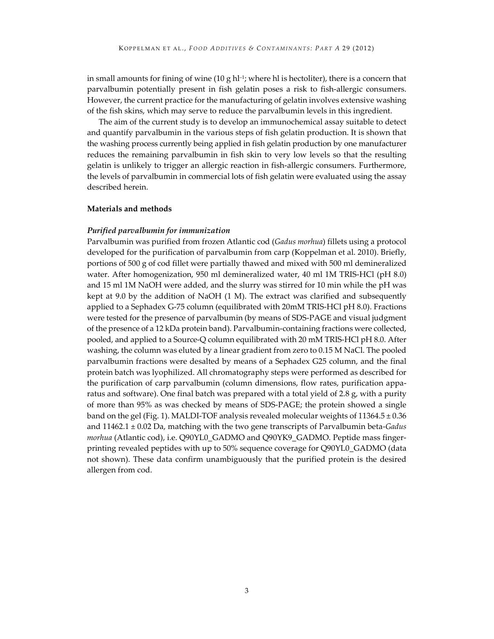in small amounts for fining of wine  $(10 \text{ g} \text{ h}^{-1})$ ; where hl is hectoliter), there is a concern that parvalbumin potentially present in fish gelatin poses a risk to fish-allergic consumers. However, the current practice for the manufacturing of gelatin involves extensive washing of the fish skins, which may serve to reduce the parvalbumin levels in this ingredient.

The aim of the current study is to develop an immunochemical assay suitable to detect and quantify parvalbumin in the various steps of fish gelatin production. It is shown that the washing process currently being applied in fish gelatin production by one manufacturer reduces the remaining parvalbumin in fish skin to very low levels so that the resulting gelatin is unlikely to trigger an allergic reaction in fish-allergic consumers. Furthermore, the levels of parvalbumin in commercial lots of fish gelatin were evaluated using the assay described herein.

#### **Materials and methods**

#### *Purified parvalbumin for immunization*

Parvalbumin was purified from frozen Atlantic cod (*Gadus morhua*) fillets using a protocol developed for the purification of parvalbumin from carp (Koppelman et al. 2010). Briefly, portions of 500 g of cod fillet were partially thawed and mixed with 500 ml demineralized water. After homogenization, 950 ml demineralized water, 40 ml 1M TRIS-HCl (pH 8.0) and 15 ml 1M NaOH were added, and the slurry was stirred for 10 min while the pH was kept at 9.0 by the addition of NaOH (1 M). The extract was clarified and subsequently applied to a Sephadex G-75 column (equilibrated with 20mM TRIS-HCl pH 8.0). Fractions were tested for the presence of parvalbumin (by means of SDS-PAGE and visual judgment of the presence of a 12 kDa protein band). Parvalbumin-containing fractions were collected, pooled, and applied to a Source-Q column equilibrated with 20 mM TRIS-HCl pH 8.0. After washing, the column was eluted by a linear gradient from zero to 0.15 M NaCl. The pooled parvalbumin fractions were desalted by means of a Sephadex G25 column, and the final protein batch was lyophilized. All chromatography steps were performed as described for the purification of carp parvalbumin (column dimensions, flow rates, purification apparatus and software). One final batch was prepared with a total yield of 2.8 g, with a purity of more than 95% as was checked by means of SDS-PAGE; the protein showed a single band on the gel (Fig. 1). MALDI-TOF analysis revealed molecular weights of  $11364.5 \pm 0.36$ and 11462.1 ± 0.02 Da, matching with the two gene transcripts of Parvalbumin beta-*Gadus morhua* (Atlantic cod), i.e. Q90YL0\_GADMO and Q90YK9\_GADMO. Peptide mass fingerprinting revealed peptides with up to 50% sequence coverage for Q90YL0\_GADMO (data not shown). These data confirm unambiguously that the purified protein is the desired allergen from cod.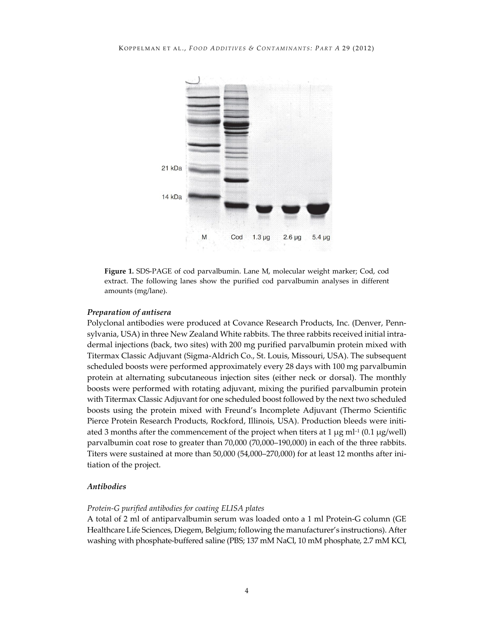

**Figure 1.** SDS-PAGE of cod parvalbumin. Lane M, molecular weight marker; Cod, cod extract. The following lanes show the purified cod parvalbumin analyses in different amounts (mg/lane).

#### *Preparation of antisera*

Polyclonal antibodies were produced at Covance Research Products, Inc. (Denver, Pennsylvania, USA) in three New Zealand White rabbits. The three rabbits received initial intradermal injections (back, two sites) with 200 mg purified parvalbumin protein mixed with Titermax Classic Adjuvant (Sigma-Aldrich Co., St. Louis, Missouri, USA). The subsequent scheduled boosts were performed approximately every 28 days with 100 mg parvalbumin protein at alternating subcutaneous injection sites (either neck or dorsal). The monthly boosts were performed with rotating adjuvant, mixing the purified parvalbumin protein with Titermax Classic Adjuvant for one scheduled boost followed by the next two scheduled boosts using the protein mixed with Freund's Incomplete Adjuvant (Thermo Scientific Pierce Protein Research Products, Rockford, Illinois, USA). Production bleeds were initiated 3 months after the commencement of the project when titers at 1  $\mu$ g ml<sup>-1</sup> (0.1  $\mu$ g/well) parvalbumin coat rose to greater than 70,000 (70,000–190,000) in each of the three rabbits. Titers were sustained at more than 50,000 (54,000–270,000) for at least 12 months after initiation of the project.

#### *Antibodies*

#### *Protein-G purified antibodies for coating ELISA plates*

A total of 2 ml of antiparvalbumin serum was loaded onto a 1 ml Protein-G column (GE Healthcare Life Sciences, Diegem, Belgium; following the manufacturer's instructions). After washing with phosphate-buffered saline (PBS; 137 mM NaCl, 10 mM phosphate, 2.7 mM KCl,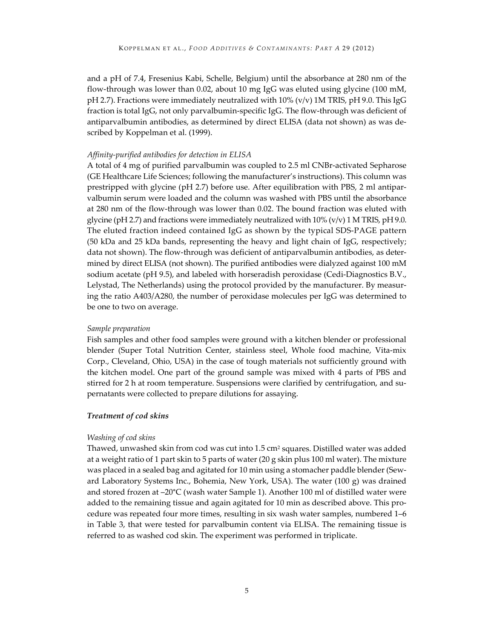and a pH of 7.4, Fresenius Kabi, Schelle, Belgium) until the absorbance at 280 nm of the flow-through was lower than 0.02, about 10 mg IgG was eluted using glycine (100 mM, pH 2.7). Fractions were immediately neutralized with  $10\%$  (v/v) 1M TRIS, pH 9.0. This IgG fraction is total IgG, not only parvalbumin-specific IgG. The flow-through was deficient of antiparvalbumin antibodies, as determined by direct ELISA (data not shown) as was described by Koppelman et al. (1999).

#### *Affinity-purified antibodies for detection in ELISA*

A total of 4 mg of purified parvalbumin was coupled to 2.5 ml CNBr-activated Sepharose (GE Healthcare Life Sciences; following the manufacturer's instructions). This column was prestripped with glycine (pH 2.7) before use. After equilibration with PBS, 2 ml antiparvalbumin serum were loaded and the column was washed with PBS until the absorbance at 280 nm of the flow-through was lower than 0.02. The bound fraction was eluted with glycine (pH 2.7) and fractions were immediately neutralized with  $10\%$  (v/v)  $1$  M TRIS, pH 9.0. The eluted fraction indeed contained IgG as shown by the typical SDS-PAGE pattern (50 kDa and 25 kDa bands, representing the heavy and light chain of IgG, respectively; data not shown). The flow-through was deficient of antiparvalbumin antibodies, as determined by direct ELISA (not shown). The purified antibodies were dialyzed against 100 mM sodium acetate (pH 9.5), and labeled with horseradish peroxidase (Cedi-Diagnostics B.V., Lelystad, The Netherlands) using the protocol provided by the manufacturer. By measuring the ratio A403/A280, the number of peroxidase molecules per IgG was determined to be one to two on average.

#### *Sample preparation*

Fish samples and other food samples were ground with a kitchen blender or professional blender (Super Total Nutrition Center, stainless steel, Whole food machine, Vita-mix Corp., Cleveland, Ohio, USA) in the case of tough materials not sufficiently ground with the kitchen model. One part of the ground sample was mixed with 4 parts of PBS and stirred for 2 h at room temperature. Suspensions were clarified by centrifugation, and supernatants were collected to prepare dilutions for assaying.

#### *Treatment of cod skins*

#### *Washing of cod skins*

Thawed, unwashed skin from cod was cut into  $1.5 \text{ cm}^2$  squares. Distilled water was added at a weight ratio of 1 part skin to 5 parts of water (20 g skin plus 100 ml water). The mixture was placed in a sealed bag and agitated for 10 min using a stomacher paddle blender (Seward Laboratory Systems Inc., Bohemia, New York, USA). The water (100 g) was drained and stored frozen at –20°C (wash water Sample 1). Another 100 ml of distilled water were added to the remaining tissue and again agitated for 10 min as described above. This procedure was repeated four more times, resulting in six wash water samples, numbered 1–6 in Table 3, that were tested for parvalbumin content via ELISA. The remaining tissue is referred to as washed cod skin. The experiment was performed in triplicate.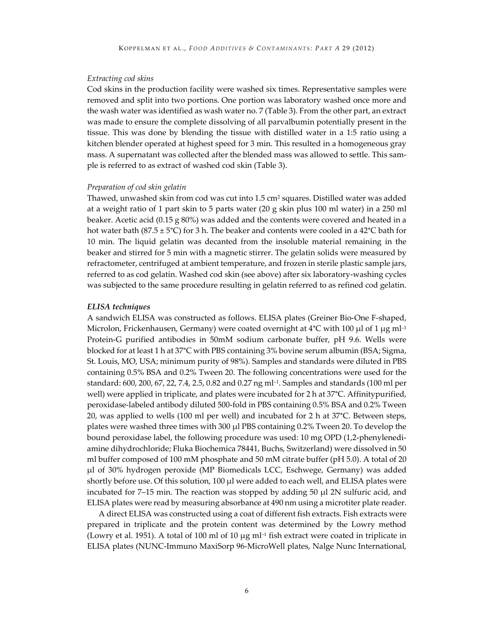#### *Extracting cod skins*

Cod skins in the production facility were washed six times. Representative samples were removed and split into two portions. One portion was laboratory washed once more and the wash water was identified as wash water no. 7 (Table 3). From the other part, an extract was made to ensure the complete dissolving of all parvalbumin potentially present in the tissue. This was done by blending the tissue with distilled water in a 1:5 ratio using a kitchen blender operated at highest speed for 3 min. This resulted in a homogeneous gray mass. A supernatant was collected after the blended mass was allowed to settle. This sample is referred to as extract of washed cod skin (Table 3).

#### *Preparation of cod skin gelatin*

Thawed, unwashed skin from cod was cut into 1.5 cm<sup>2</sup> squares. Distilled water was added at a weight ratio of 1 part skin to 5 parts water (20 g skin plus 100 ml water) in a 250 ml beaker. Acetic acid (0.15 g 80%) was added and the contents were covered and heated in a hot water bath (87.5  $\pm$  5°C) for 3 h. The beaker and contents were cooled in a 42°C bath for 10 min. The liquid gelatin was decanted from the insoluble material remaining in the beaker and stirred for 5 min with a magnetic stirrer. The gelatin solids were measured by refractometer, centrifuged at ambient temperature, and frozen in sterile plastic sample jars, referred to as cod gelatin. Washed cod skin (see above) after six laboratory-washing cycles was subjected to the same procedure resulting in gelatin referred to as refined cod gelatin.

#### *ELISA techniques*

A sandwich ELISA was constructed as follows. ELISA plates (Greiner Bio-One F-shaped, Microlon, Frickenhausen, Germany) were coated overnight at  $4^{\circ}$ C with 100 µl of 1 µg ml<sup>-1</sup> Protein-G purified antibodies in 50mM sodium carbonate buffer, pH 9.6. Wells were blocked for at least 1 h at 37°C with PBS containing 3% bovine serum albumin (BSA; Sigma, St. Louis, MO, USA; minimum purity of 98%). Samples and standards were diluted in PBS containing 0.5% BSA and 0.2% Tween 20. The following concentrations were used for the standard: 600, 200, 67, 22, 7.4, 2.5, 0.82 and 0.27 ng ml–1. Samples and standards (100 ml per well) were applied in triplicate, and plates were incubated for 2 h at 37°C. Affinitypurified, peroxidase-labeled antibody diluted 500-fold in PBS containing 0.5% BSA and 0.2% Tween 20, was applied to wells (100 ml per well) and incubated for 2 h at 37°C. Between steps, plates were washed three times with 300 μl PBS containing 0.2% Tween 20. To develop the bound peroxidase label, the following procedure was used: 10 mg OPD (1,2-phenylenediamine dihydrochloride; Fluka Biochemica 78441, Buchs, Switzerland) were dissolved in 50 ml buffer composed of 100 mM phosphate and 50 mM citrate buffer (pH 5.0). A total of 20 μl of 30% hydrogen peroxide (MP Biomedicals LCC, Eschwege, Germany) was added shortly before use. Of this solution, 100 μl were added to each well, and ELISA plates were incubated for  $7-15$  min. The reaction was stopped by adding  $50 \mu$ l 2N sulfuric acid, and ELISA plates were read by measuring absorbance at 490 nm using a microtiter plate reader.

A direct ELISA was constructed using a coat of different fish extracts. Fish extracts were prepared in triplicate and the protein content was determined by the Lowry method (Lowry et al. 1951). A total of 100 ml of 10  $\mu$ g ml<sup>-1</sup> fish extract were coated in triplicate in ELISA plates (NUNC-Immuno MaxiSorp 96-MicroWell plates, Nalge Nunc International,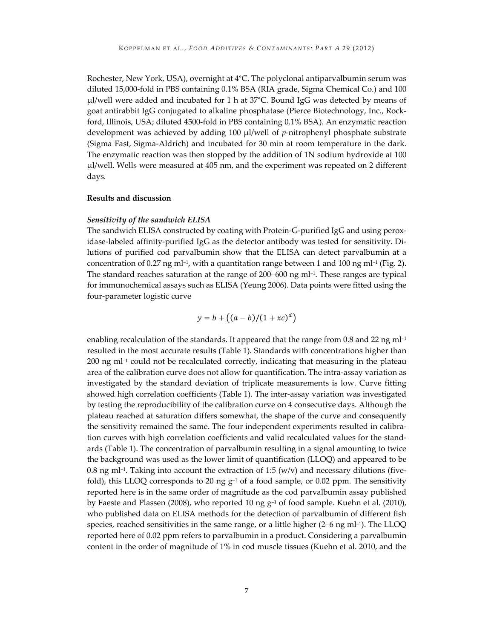Rochester, New York, USA), overnight at 4°C. The polyclonal antiparvalbumin serum was diluted 15,000-fold in PBS containing 0.1% BSA (RIA grade, Sigma Chemical Co.) and 100 μl/well were added and incubated for 1 h at 37°C. Bound IgG was detected by means of goat antirabbit IgG conjugated to alkaline phosphatase (Pierce Biotechnology, Inc., Rockford, Illinois, USA; diluted 4500-fold in PBS containing 0.1% BSA). An enzymatic reaction development was achieved by adding 100 μl/well of *p*-nitrophenyl phosphate substrate (Sigma Fast, Sigma-Aldrich) and incubated for 30 min at room temperature in the dark. The enzymatic reaction was then stopped by the addition of 1N sodium hydroxide at 100 μl/well. Wells were measured at 405 nm, and the experiment was repeated on 2 different days.

#### **Results and discussion**

#### *Sensitivity of the sandwich ELISA*

The sandwich ELISA constructed by coating with Protein-G-purified IgG and using peroxidase-labeled affinity-purified IgG as the detector antibody was tested for sensitivity. Dilutions of purified cod parvalbumin show that the ELISA can detect parvalbumin at a concentration of 0.27 ng ml<sup>-1</sup>, with a quantitation range between 1 and 100 ng ml<sup>-1</sup> (Fig. 2). The standard reaches saturation at the range of  $200-600$  ng ml<sup>-1</sup>. These ranges are typical for immunochemical assays such as ELISA (Yeung 2006). Data points were fitted using the four-parameter logistic curve

$$
y = b + ((a - b)/(1 + xc)^d)
$$

enabling recalculation of the standards. It appeared that the range from 0.8 and 22 ng ml<sup>-1</sup> resulted in the most accurate results (Table 1). Standards with concentrations higher than  $200$  ng m $l^{-1}$  could not be recalculated correctly, indicating that measuring in the plateau area of the calibration curve does not allow for quantification. The intra-assay variation as investigated by the standard deviation of triplicate measurements is low. Curve fitting showed high correlation coefficients (Table 1). The inter-assay variation was investigated by testing the reproducibility of the calibration curve on 4 consecutive days. Although the plateau reached at saturation differs somewhat, the shape of the curve and consequently the sensitivity remained the same. The four independent experiments resulted in calibration curves with high correlation coefficients and valid recalculated values for the standards (Table 1). The concentration of parvalbumin resulting in a signal amounting to twice the background was used as the lower limit of quantification (LLOQ) and appeared to be 0.8 ng ml<sup>-1</sup>. Taking into account the extraction of 1:5 (w/v) and necessary dilutions (fivefold), this LLOQ corresponds to 20 ng  $g^{-1}$  of a food sample, or 0.02 ppm. The sensitivity reported here is in the same order of magnitude as the cod parvalbumin assay published by Faeste and Plassen (2008), who reported 10 ng  $g^{-1}$  of food sample. Kuehn et al. (2010), who published data on ELISA methods for the detection of parvalbumin of different fish species, reached sensitivities in the same range, or a little higher  $(2-6 \text{ ng ml-1})$ . The LLOQ reported here of 0.02 ppm refers to parvalbumin in a product. Considering a parvalbumin content in the order of magnitude of 1% in cod muscle tissues (Kuehn et al. 2010, and the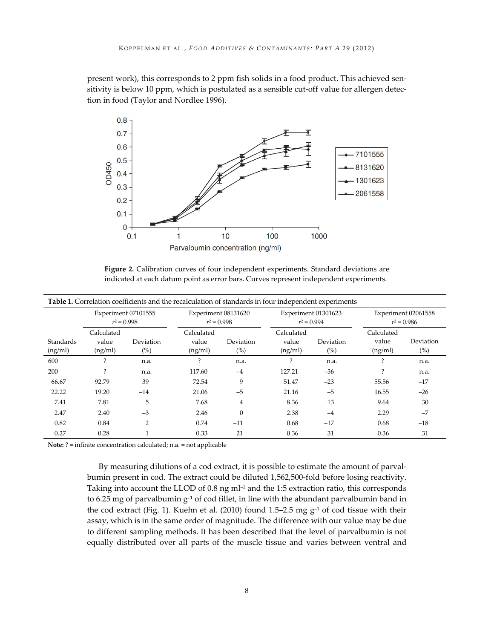present work), this corresponds to 2 ppm fish solids in a food product. This achieved sensitivity is below 10 ppm, which is postulated as a sensible cut-off value for allergen detection in food (Taylor and Nordlee 1996).



**Figure 2.** Calibration curves of four independent experiments. Standard deviations are indicated at each datum point as error bars. Curves represent independent experiments.

| <b>Table 1.</b> Correlation coefficients and the recalculation of standards in four independent experiments |                                      |                     |                                      |                     |                                      |                     |                                      |                     |
|-------------------------------------------------------------------------------------------------------------|--------------------------------------|---------------------|--------------------------------------|---------------------|--------------------------------------|---------------------|--------------------------------------|---------------------|
|                                                                                                             | Experiment 07101555<br>$r^2 = 0.998$ |                     | Experiment 08131620<br>$r^2 = 0.998$ |                     | Experiment 01301623<br>$r^2 = 0.994$ |                     | Experiment 02061558<br>$r^2 = 0.986$ |                     |
| <b>Standards</b><br>(ng/ml)                                                                                 | Calculated<br>value<br>(ng/ml)       | Deviation<br>$(\%)$ | Calculated<br>value<br>(ng/ml)       | Deviation<br>$(\%)$ | Calculated<br>value<br>(ng/ml)       | Deviation<br>$(\%)$ | Calculated<br>value<br>(ng/ml)       | Deviation<br>$(\%)$ |
| 600                                                                                                         | $\mathcal{P}$                        | n.a.                | ?                                    | n.a.                | ?                                    | n.a.                | $\mathcal{P}$                        | n.a.                |
| 200                                                                                                         |                                      | n.a.                | 117.60                               | $-4$                | 127.21                               | $-36$               |                                      | n.a.                |
| 66.67                                                                                                       | 92.79                                | 39                  | 72.54                                | 9                   | 51.47                                | $-23$               | 55.56                                | $-17$               |
| 22.22                                                                                                       | 19.20                                | $-14$               | 21.06                                | $-5$                | 21.16                                | $-5$                | 16.55                                | $-26$               |
| 7.41                                                                                                        | 7.81                                 | 5                   | 7.68                                 | $\overline{4}$      | 8.36                                 | 13                  | 9.64                                 | 30                  |
| 2.47                                                                                                        | 2.40                                 | $-3$                | 2.46                                 | $\mathbf{0}$        | 2.38                                 | $-4$                | 2.29                                 | $-7$                |
| 0.82                                                                                                        | 0.84                                 | $\overline{2}$      | 0.74                                 | $-11$               | 0.68                                 | $-17$               | 0.68                                 | $-18$               |
| 0.27                                                                                                        | 0.28                                 |                     | 0.33                                 | 21                  | 0.36                                 | 31                  | 0.36                                 | 31                  |

**Note:** ? = infinite concentration calculated; n.a. = not applicable

By measuring dilutions of a cod extract, it is possible to estimate the amount of parvalbumin present in cod. The extract could be diluted 1,562,500-fold before losing reactivity. Taking into account the LLOD of  $0.8$  ng ml $^{-1}$  and the 1:5 extraction ratio, this corresponds to 6.25 mg of parvalbumin  $g^{-1}$  of cod fillet, in line with the abundant parvalbumin band in the cod extract (Fig. 1). Kuehn et al. (2010) found 1.5–2.5 mg g–1 of cod tissue with their assay, which is in the same order of magnitude. The difference with our value may be due to different sampling methods. It has been described that the level of parvalbumin is not equally distributed over all parts of the muscle tissue and varies between ventral and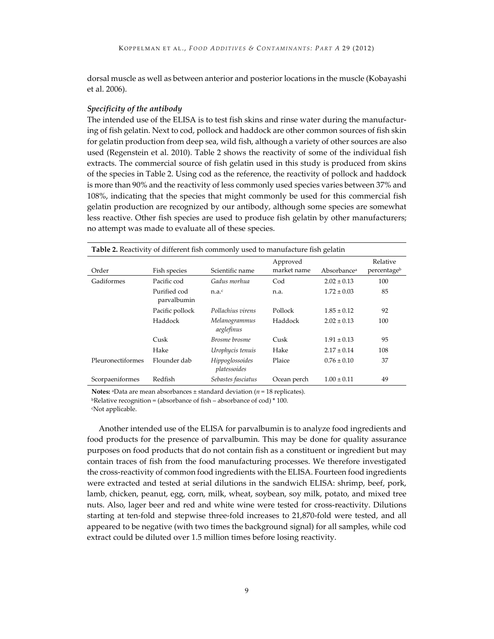dorsal muscle as well as between anterior and posterior locations in the muscle (Kobayashi et al. 2006).

#### *Specificity of the antibody*

The intended use of the ELISA is to test fish skins and rinse water during the manufacturing of fish gelatin. Next to cod, pollock and haddock are other common sources of fish skin for gelatin production from deep sea, wild fish, although a variety of other sources are also used (Regenstein et al. 2010). Table 2 shows the reactivity of some of the individual fish extracts. The commercial source of fish gelatin used in this study is produced from skins of the species in Table 2. Using cod as the reference, the reactivity of pollock and haddock is more than 90% and the reactivity of less commonly used species varies between 37% and 108%, indicating that the species that might commonly be used for this commercial fish gelatin production are recognized by our antibody, although some species are somewhat less reactive. Other fish species are used to produce fish gelatin by other manufacturers; no attempt was made to evaluate all of these species.

| <b>Table 2.</b> Reactivity of different fish commonly used to manufacture fish gelatin |                             |                                 |             |                         |             |  |  |
|----------------------------------------------------------------------------------------|-----------------------------|---------------------------------|-------------|-------------------------|-------------|--|--|
|                                                                                        |                             |                                 | Approved    |                         | Relative    |  |  |
| Order                                                                                  | Fish species                | Scientific name                 | market name | Absorbance <sup>a</sup> | percentageb |  |  |
| Gadiformes                                                                             | Pacific cod                 | Gadus morhua                    | Cod         | $2.02 \pm 0.13$         | 100         |  |  |
|                                                                                        | Purified cod<br>parvalbumin | n.a. <sup>c</sup>               | n.a.        | $1.72 \pm 0.03$         | 85          |  |  |
|                                                                                        | Pacific pollock             | Pollachius virens               | Pollock     | $1.85 \pm 0.12$         | 92          |  |  |
|                                                                                        | Haddock                     | Melanogrammus<br>aeglefinus     | Haddock     | $2.02 \pm 0.13$         | 100         |  |  |
|                                                                                        | Cusk                        | Brosme brosme                   | Cusk        | $1.91 \pm 0.13$         | 95          |  |  |
|                                                                                        | Hake                        | Urophycis tenuis                | Hake        | $2.17 \pm 0.14$         | 108         |  |  |
| Pleuronectiformes                                                                      | Flounder dab                | Hippoglossoides<br>platessoides | Plaice      | $0.76 \pm 0.10$         | 37          |  |  |
| Scorpaeniformes                                                                        | Redfish                     | Sebastes fasciatus              | Ocean perch | $1.00 \pm 0.11$         | 49          |  |  |

**Notes:** aData are mean absorbances ± standard deviation (*n* = 18 replicates).

**bRelative recognition = (absorbance of fish – absorbance of cod) \* 100.** 

cNot applicable.

Another intended use of the ELISA for parvalbumin is to analyze food ingredients and food products for the presence of parvalbumin. This may be done for quality assurance purposes on food products that do not contain fish as a constituent or ingredient but may contain traces of fish from the food manufacturing processes. We therefore investigated the cross-reactivity of common food ingredients with the ELISA. Fourteen food ingredients were extracted and tested at serial dilutions in the sandwich ELISA: shrimp, beef, pork, lamb, chicken, peanut, egg, corn, milk, wheat, soybean, soy milk, potato, and mixed tree nuts. Also, lager beer and red and white wine were tested for cross-reactivity. Dilutions starting at ten-fold and stepwise three-fold increases to 21,870-fold were tested, and all appeared to be negative (with two times the background signal) for all samples, while cod extract could be diluted over 1.5 million times before losing reactivity.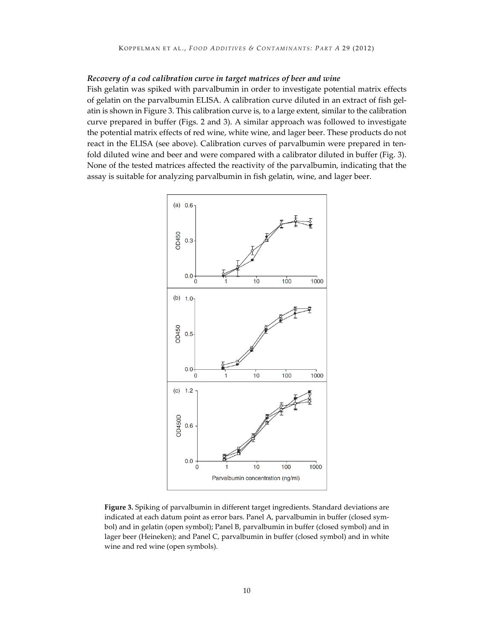#### *Recovery of a cod calibration curve in target matrices of beer and wine*

Fish gelatin was spiked with parvalbumin in order to investigate potential matrix effects of gelatin on the parvalbumin ELISA. A calibration curve diluted in an extract of fish gelatin is shown in Figure 3. This calibration curve is, to a large extent, similar to the calibration curve prepared in buffer (Figs. 2 and 3). A similar approach was followed to investigate the potential matrix effects of red wine, white wine, and lager beer. These products do not react in the ELISA (see above). Calibration curves of parvalbumin were prepared in tenfold diluted wine and beer and were compared with a calibrator diluted in buffer (Fig. 3). None of the tested matrices affected the reactivity of the parvalbumin, indicating that the assay is suitable for analyzing parvalbumin in fish gelatin, wine, and lager beer.



**Figure 3.** Spiking of parvalbumin in different target ingredients. Standard deviations are indicated at each datum point as error bars. Panel A, parvalbumin in buffer (closed symbol) and in gelatin (open symbol); Panel B, parvalbumin in buffer (closed symbol) and in lager beer (Heineken); and Panel C, parvalbumin in buffer (closed symbol) and in white wine and red wine (open symbols).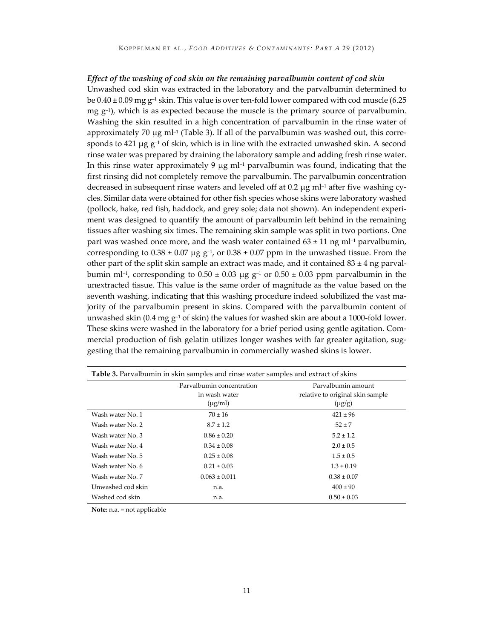#### *Effect of the washing of cod skin on the remaining parvalbumin content of cod skin*

Unwashed cod skin was extracted in the laboratory and the parvalbumin determined to be  $0.40 \pm 0.09$  mg g<sup>-1</sup> skin. This value is over ten-fold lower compared with cod muscle (6.25 mg  $g^{-1}$ ), which is as expected because the muscle is the primary source of parvalbumin. Washing the skin resulted in a high concentration of parvalbumin in the rinse water of approximately 70  $\mu$ g ml<sup>-1</sup> (Table 3). If all of the parvalbumin was washed out, this corresponds to 421  $\mu$ g  $g^{-1}$  of skin, which is in line with the extracted unwashed skin. A second rinse water was prepared by draining the laboratory sample and adding fresh rinse water. In this rinse water approximately 9  $\mu$ g m $-1$  parvalbumin was found, indicating that the first rinsing did not completely remove the parvalbumin. The parvalbumin concentration decreased in subsequent rinse waters and leveled off at 0.2  $\mu$ g ml<sup>-1</sup> after five washing cycles. Similar data were obtained for other fish species whose skins were laboratory washed (pollock, hake, red fish, haddock, and grey sole; data not shown). An independent experiment was designed to quantify the amount of parvalbumin left behind in the remaining tissues after washing six times. The remaining skin sample was split in two portions. One part was washed once more, and the wash water contained  $63 \pm 11$  ng ml<sup>-1</sup> parvalbumin, corresponding to  $0.38 \pm 0.07$  µg g<sup>-1</sup>, or  $0.38 \pm 0.07$  ppm in the unwashed tissue. From the other part of the split skin sample an extract was made, and it contained  $83 \pm 4$  ng parvalbumin ml<sup>-1</sup>, corresponding to  $0.50 \pm 0.03$  μg g<sup>-1</sup> or  $0.50 \pm 0.03$  ppm parvalbumin in the unextracted tissue. This value is the same order of magnitude as the value based on the seventh washing, indicating that this washing procedure indeed solubilized the vast majority of the parvalbumin present in skins. Compared with the parvalbumin content of unwashed skin (0.4 mg  $g^{-1}$  of skin) the values for washed skin are about a 1000-fold lower. These skins were washed in the laboratory for a brief period using gentle agitation. Commercial production of fish gelatin utilizes longer washes with far greater agitation, suggesting that the remaining parvalbumin in commercially washed skins is lower.

| <b>Table 3.</b> Parvalbumin in skin samples and rinse water samples and extract of skins |                                                            |                                                                       |  |  |  |
|------------------------------------------------------------------------------------------|------------------------------------------------------------|-----------------------------------------------------------------------|--|--|--|
|                                                                                          | Parvalbumin concentration<br>in wash water<br>$(\mu g/ml)$ | Parvalbumin amount<br>relative to original skin sample<br>$(\mu g/g)$ |  |  |  |
| Wash water No. 1                                                                         | $70 \pm 16$                                                | $421 \pm 96$                                                          |  |  |  |
| Wash water No. 2                                                                         | $8.7 \pm 1.2$                                              | $52 \pm 7$                                                            |  |  |  |
| Wash water No. 3                                                                         | $0.86 \pm 0.20$                                            | $5.2 \pm 1.2$                                                         |  |  |  |
| Wash water No. 4                                                                         | $0.34 \pm 0.08$                                            | $2.0 \pm 0.5$                                                         |  |  |  |
| Wash water No. 5                                                                         | $0.25 \pm 0.08$                                            | $1.5 \pm 0.5$                                                         |  |  |  |
| Wash water No. 6                                                                         | $0.21 \pm 0.03$                                            | $1.3 \pm 0.19$                                                        |  |  |  |
| Wash water No. 7                                                                         | $0.063 \pm 0.011$                                          | $0.38 \pm 0.07$                                                       |  |  |  |
| Unwashed cod skin                                                                        | n.a.                                                       | $400 \pm 90$                                                          |  |  |  |
| Washed cod skin                                                                          | n.a.                                                       | $0.50 \pm 0.03$                                                       |  |  |  |

**Note:** n.a. = not applicable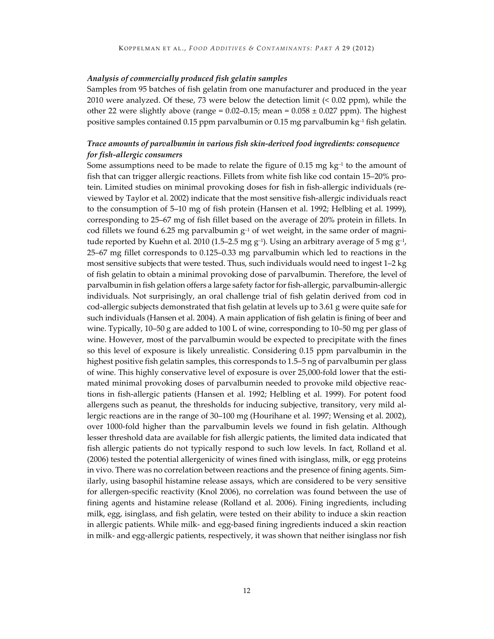#### *Analysis of commercially produced fish gelatin samples*

Samples from 95 batches of fish gelatin from one manufacturer and produced in the year 2010 were analyzed. Of these, 73 were below the detection limit (< 0.02 ppm), while the other 22 were slightly above (range =  $0.02-0.15$ ; mean =  $0.058 \pm 0.027$  ppm). The highest positive samples contained 0.15 ppm parvalbumin or 0.15 mg parvalbumin  $kg<sup>-1</sup>$  fish gelatin.

#### *Trace amounts of parvalbumin in various fish skin-derived food ingredients: consequence for fish-allergic consumers*

Some assumptions need to be made to relate the figure of 0.15 mg  $kg<sup>-1</sup>$  to the amount of fish that can trigger allergic reactions. Fillets from white fish like cod contain 15–20% protein. Limited studies on minimal provoking doses for fish in fish-allergic individuals (reviewed by Taylor et al. 2002) indicate that the most sensitive fish-allergic individuals react to the consumption of 5–10 mg of fish protein (Hansen et al. 1992; Helbling et al. 1999), corresponding to 25–67 mg of fish fillet based on the average of 20% protein in fillets. In cod fillets we found 6.25 mg parvalbumin  $g^{-1}$  of wet weight, in the same order of magnitude reported by Kuehn et al. 2010 (1.5–2.5 mg  $g^{-1}$ ). Using an arbitrary average of 5 mg  $g^{-1}$ , 25–67 mg fillet corresponds to 0.125–0.33 mg parvalbumin which led to reactions in the most sensitive subjects that were tested. Thus, such individuals would need to ingest 1–2 kg of fish gelatin to obtain a minimal provoking dose of parvalbumin. Therefore, the level of parvalbumin in fish gelation offers a large safety factor for fish-allergic, parvalbumin-allergic individuals. Not surprisingly, an oral challenge trial of fish gelatin derived from cod in cod-allergic subjects demonstrated that fish gelatin at levels up to 3.61 g were quite safe for such individuals (Hansen et al. 2004). A main application of fish gelatin is fining of beer and wine. Typically, 10–50 g are added to 100 L of wine, corresponding to 10–50 mg per glass of wine. However, most of the parvalbumin would be expected to precipitate with the fines so this level of exposure is likely unrealistic. Considering 0.15 ppm parvalbumin in the highest positive fish gelatin samples, this corresponds to 1.5–5 ng of parvalbumin per glass of wine. This highly conservative level of exposure is over 25,000-fold lower that the estimated minimal provoking doses of parvalbumin needed to provoke mild objective reactions in fish-allergic patients (Hansen et al. 1992; Helbling et al. 1999). For potent food allergens such as peanut, the thresholds for inducing subjective, transitory, very mild allergic reactions are in the range of 30–100 mg (Hourihane et al. 1997; Wensing et al. 2002), over 1000-fold higher than the parvalbumin levels we found in fish gelatin. Although lesser threshold data are available for fish allergic patients, the limited data indicated that fish allergic patients do not typically respond to such low levels. In fact, Rolland et al. (2006) tested the potential allergenicity of wines fined with isinglass, milk, or egg proteins in vivo. There was no correlation between reactions and the presence of fining agents. Similarly, using basophil histamine release assays, which are considered to be very sensitive for allergen-specific reactivity (Knol 2006), no correlation was found between the use of fining agents and histamine release (Rolland et al. 2006). Fining ingredients, including milk, egg, isinglass, and fish gelatin, were tested on their ability to induce a skin reaction in allergic patients. While milk- and egg-based fining ingredients induced a skin reaction in milk- and egg-allergic patients, respectively, it was shown that neither isinglass nor fish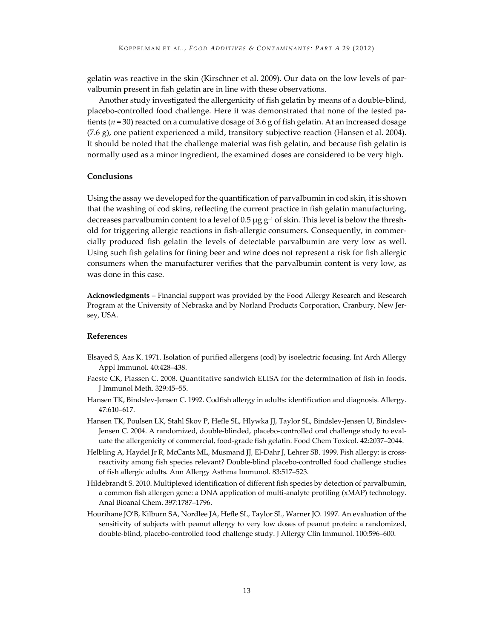gelatin was reactive in the skin (Kirschner et al. 2009). Our data on the low levels of parvalbumin present in fish gelatin are in line with these observations.

Another study investigated the allergenicity of fish gelatin by means of a double-blind, placebo-controlled food challenge. Here it was demonstrated that none of the tested patients ( $n = 30$ ) reacted on a cumulative dosage of 3.6 g of fish gelatin. At an increased dosage (7.6 g), one patient experienced a mild, transitory subjective reaction (Hansen et al. 2004). It should be noted that the challenge material was fish gelatin, and because fish gelatin is normally used as a minor ingredient, the examined doses are considered to be very high.

#### **Conclusions**

Using the assay we developed for the quantification of parvalbumin in cod skin, it is shown that the washing of cod skins, reflecting the current practice in fish gelatin manufacturing, decreases parvalbumin content to a level of 0.5  $\mu$ g g<sup>-1</sup> of skin. This level is below the threshold for triggering allergic reactions in fish-allergic consumers. Consequently, in commercially produced fish gelatin the levels of detectable parvalbumin are very low as well. Using such fish gelatins for fining beer and wine does not represent a risk for fish allergic consumers when the manufacturer verifies that the parvalbumin content is very low, as was done in this case.

**Acknowledgments** – Financial support was provided by the Food Allergy Research and Research Program at the University of Nebraska and by Norland Products Corporation, Cranbury, New Jersey, USA.

#### **References**

- Elsayed S, Aas K. 1971. Isolation of purified allergens (cod) by isoelectric focusing. Int Arch Allergy Appl Immunol. 40:428–438.
- Faeste CK, Plassen C. 2008. Quantitative sandwich ELISA for the determination of fish in foods. J Immunol Meth. 329:45–55.
- Hansen TK, Bindslev-Jensen C. 1992. Codfish allergy in adults: identification and diagnosis. Allergy. 47:610–617.
- Hansen TK, Poulsen LK, Stahl Skov P, Hefle SL, Hlywka JJ, Taylor SL, Bindslev-Jensen U, Bindslev-Jensen C. 2004. A randomized, double-blinded, placebo-controlled oral challenge study to evaluate the allergenicity of commercial, food-grade fish gelatin. Food Chem Toxicol. 42:2037–2044.
- Helbling A, Haydel Jr R, McCants ML, Musmand JJ, El-Dahr J, Lehrer SB. 1999. Fish allergy: is crossreactivity among fish species relevant? Double-blind placebo-controlled food challenge studies of fish allergic adults. Ann Allergy Asthma Immunol. 83:517–523.
- Hildebrandt S. 2010. Multiplexed identification of different fish species by detection of parvalbumin, a common fish allergen gene: a DNA application of multi-analyte profiling (xMAP) technology. Anal Bioanal Chem. 397:1787–1796.
- Hourihane JO'B, Kilburn SA, Nordlee JA, Hefle SL, Taylor SL, Warner JO. 1997. An evaluation of the sensitivity of subjects with peanut allergy to very low doses of peanut protein: a randomized, double-blind, placebo-controlled food challenge study. J Allergy Clin Immunol. 100:596–600.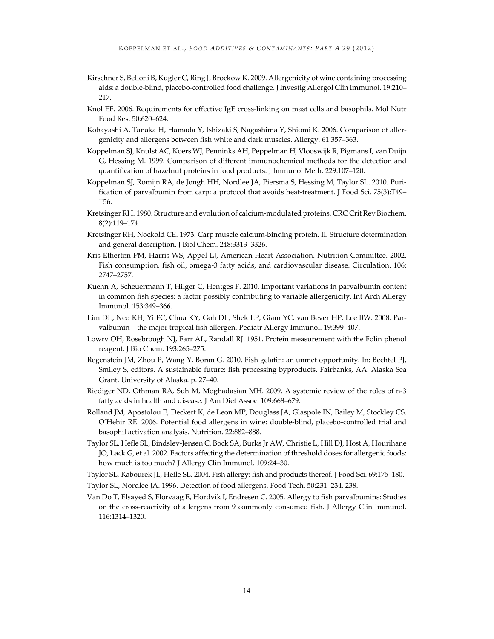- Kirschner S, Belloni B, Kugler C, Ring J, Brockow K. 2009. Allergenicity of wine containing processing aids: a double-blind, placebo-controlled food challenge. J Investig Allergol Clin Immunol. 19:210– 217.
- Knol EF. 2006. Requirements for effective IgE cross-linking on mast cells and basophils. Mol Nutr Food Res. 50:620–624.
- Kobayashi A, Tanaka H, Hamada Y, Ishizaki S, Nagashima Y, Shiomi K. 2006. Comparison of allergenicity and allergens between fish white and dark muscles. Allergy. 61:357–363.
- Koppelman SJ, Knulst AC, Koers WJ, Penninks AH, Peppelman H, Vlooswijk R, Pigmans I, van Duijn G, Hessing M. 1999. Comparison of different immunochemical methods for the detection and quantification of hazelnut proteins in food products. J Immunol Meth. 229:107–120.
- Koppelman SJ, Romijn RA, de Jongh HH, Nordlee JA, Piersma S, Hessing M, Taylor SL. 2010. Purification of parvalbumin from carp: a protocol that avoids heat-treatment. J Food Sci. 75(3):T49– T56.
- Kretsinger RH. 1980. Structure and evolution of calcium-modulated proteins. CRC Crit Rev Biochem. 8(2):119–174.
- Kretsinger RH, Nockold CE. 1973. Carp muscle calcium-binding protein. II. Structure determination and general description. J Biol Chem. 248:3313–3326.
- Kris-Etherton PM, Harris WS, Appel LJ, American Heart Association. Nutrition Committee. 2002. Fish consumption, fish oil, omega-3 fatty acids, and cardiovascular disease. Circulation. 106: 2747–2757.
- Kuehn A, Scheuermann T, Hilger C, Hentges F. 2010. Important variations in parvalbumin content in common fish species: a factor possibly contributing to variable allergenicity. Int Arch Allergy Immunol. 153:349–366.
- Lim DL, Neo KH, Yi FC, Chua KY, Goh DL, Shek LP, Giam YC, van Bever HP, Lee BW. 2008. Parvalbumin—the major tropical fish allergen. Pediatr Allergy Immunol. 19:399–407.
- Lowry OH, Rosebrough NJ, Farr AL, Randall RJ. 1951. Protein measurement with the Folin phenol reagent. J Bio Chem. 193:265–275.
- Regenstein JM, Zhou P, Wang Y, Boran G. 2010. Fish gelatin: an unmet opportunity. In: Bechtel PJ, Smiley S, editors. A sustainable future: fish processing byproducts. Fairbanks, AA: Alaska Sea Grant, University of Alaska. p. 27–40.
- Riediger ND, Othman RA, Suh M, Moghadasian MH. 2009. A systemic review of the roles of n-3 fatty acids in health and disease. J Am Diet Assoc. 109:668–679.
- Rolland JM, Apostolou E, Deckert K, de Leon MP, Douglass JA, Glaspole IN, Bailey M, Stockley CS, O'Hehir RE. 2006. Potential food allergens in wine: double-blind, placebo-controlled trial and basophil activation analysis. Nutrition. 22:882–888.
- Taylor SL, Hefle SL, Bindslev-Jensen C, Bock SA, Burks Jr AW, Christie L, Hill DJ, Host A, Hourihane JO, Lack G, et al. 2002. Factors affecting the determination of threshold doses for allergenic foods: how much is too much? J Allergy Clin Immunol. 109:24–30.
- Taylor SL, Kabourek JL, Hefle SL. 2004. Fish allergy: fish and products thereof. J Food Sci. 69:175–180.
- Taylor SL, Nordlee JA. 1996. Detection of food allergens. Food Tech. 50:231–234, 238.
- Van Do T, Elsayed S, Florvaag E, Hordvik I, Endresen C. 2005. Allergy to fish parvalbumins: Studies on the cross-reactivity of allergens from 9 commonly consumed fish. J Allergy Clin Immunol. 116:1314–1320.